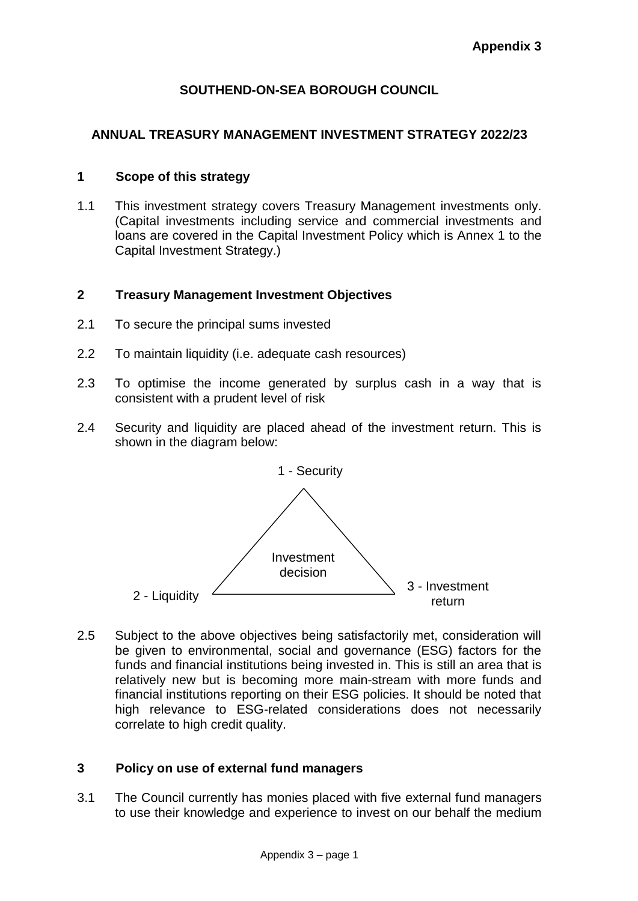# **SOUTHEND-ON-SEA BOROUGH COUNCIL**

# **ANNUAL TREASURY MANAGEMENT INVESTMENT STRATEGY 2022/23**

## **1 Scope of this strategy**

1.1 This investment strategy covers Treasury Management investments only. (Capital investments including service and commercial investments and loans are covered in the Capital Investment Policy which is Annex 1 to the Capital Investment Strategy.)

## **2 Treasury Management Investment Objectives**

- 2.1 To secure the principal sums invested
- 2.2 To maintain liquidity (i.e. adequate cash resources)
- 2.3 To optimise the income generated by surplus cash in a way that is consistent with a prudent level of risk
- 2.4 Security and liquidity are placed ahead of the investment return. This is shown in the diagram below:



2.5 Subject to the above objectives being satisfactorily met, consideration will be given to environmental, social and governance (ESG) factors for the funds and financial institutions being invested in. This is still an area that is relatively new but is becoming more main-stream with more funds and financial institutions reporting on their ESG policies. It should be noted that high relevance to ESG-related considerations does not necessarily correlate to high credit quality.

## **3 Policy on use of external fund managers**

3.1 The Council currently has monies placed with five external fund managers to use their knowledge and experience to invest on our behalf the medium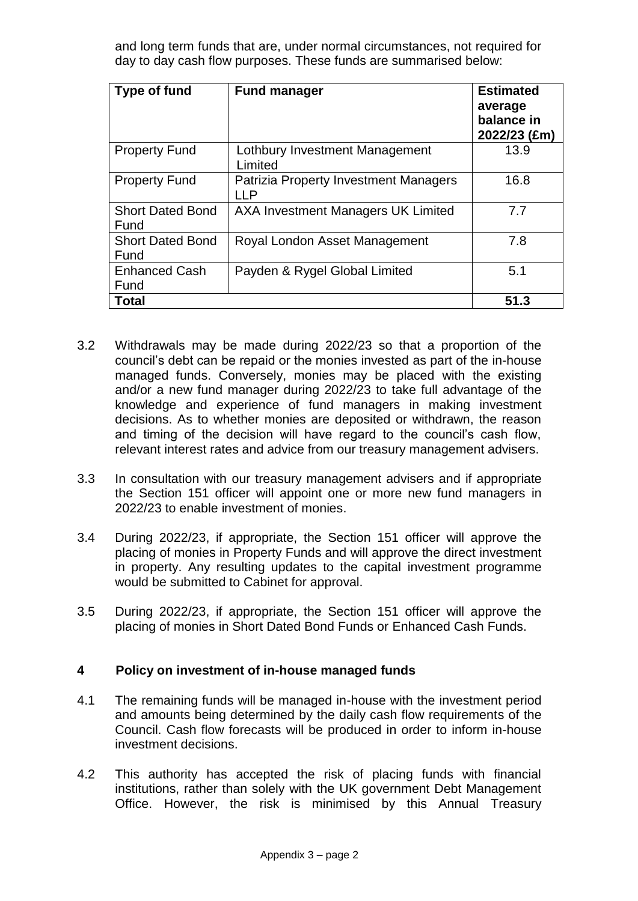and long term funds that are, under normal circumstances, not required for day to day cash flow purposes. These funds are summarised below:

| <b>Type of fund</b>             | <b>Fund manager</b>                                 | <b>Estimated</b><br>average<br>balance in<br>2022/23 (£m) |
|---------------------------------|-----------------------------------------------------|-----------------------------------------------------------|
| <b>Property Fund</b>            | Lothbury Investment Management<br>Limited           | 13.9                                                      |
| <b>Property Fund</b>            | Patrizia Property Investment Managers<br><b>LLP</b> | 16.8                                                      |
| <b>Short Dated Bond</b><br>Fund | AXA Investment Managers UK Limited                  | 7.7                                                       |
| <b>Short Dated Bond</b><br>Fund | Royal London Asset Management                       | 7.8                                                       |
| <b>Enhanced Cash</b><br>Fund    | Payden & Rygel Global Limited                       | 5.1                                                       |
| Total                           |                                                     | 51.3                                                      |

- 3.2 Withdrawals may be made during 2022/23 so that a proportion of the council's debt can be repaid or the monies invested as part of the in-house managed funds. Conversely, monies may be placed with the existing and/or a new fund manager during 2022/23 to take full advantage of the knowledge and experience of fund managers in making investment decisions. As to whether monies are deposited or withdrawn, the reason and timing of the decision will have regard to the council's cash flow, relevant interest rates and advice from our treasury management advisers.
- 3.3 In consultation with our treasury management advisers and if appropriate the Section 151 officer will appoint one or more new fund managers in 2022/23 to enable investment of monies.
- 3.4 During 2022/23, if appropriate, the Section 151 officer will approve the placing of monies in Property Funds and will approve the direct investment in property. Any resulting updates to the capital investment programme would be submitted to Cabinet for approval.
- 3.5 During 2022/23, if appropriate, the Section 151 officer will approve the placing of monies in Short Dated Bond Funds or Enhanced Cash Funds.

## **4 Policy on investment of in-house managed funds**

- 4.1 The remaining funds will be managed in-house with the investment period and amounts being determined by the daily cash flow requirements of the Council. Cash flow forecasts will be produced in order to inform in-house investment decisions.
- 4.2 This authority has accepted the risk of placing funds with financial institutions, rather than solely with the UK government Debt Management Office. However, the risk is minimised by this Annual Treasury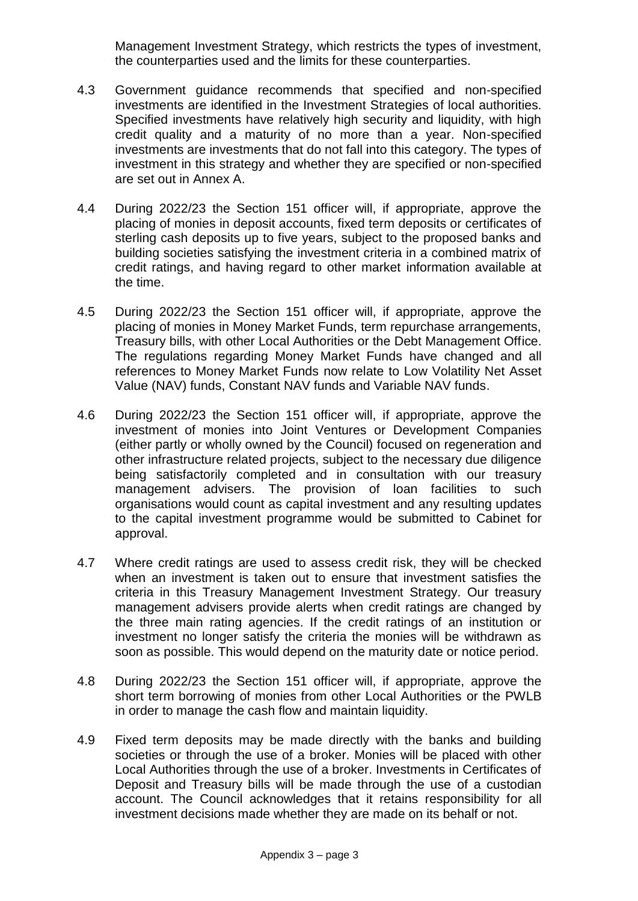Management Investment Strategy, which restricts the types of investment, the counterparties used and the limits for these counterparties.

- 4.3 Government guidance recommends that specified and non-specified investments are identified in the Investment Strategies of local authorities. Specified investments have relatively high security and liquidity, with high credit quality and a maturity of no more than a year. Non-specified investments are investments that do not fall into this category. The types of investment in this strategy and whether they are specified or non-specified are set out in Annex A.
- 4.4 During 2022/23 the Section 151 officer will, if appropriate, approve the placing of monies in deposit accounts, fixed term deposits or certificates of sterling cash deposits up to five years, subject to the proposed banks and building societies satisfying the investment criteria in a combined matrix of credit ratings, and having regard to other market information available at the time.
- 4.5 During 2022/23 the Section 151 officer will, if appropriate, approve the placing of monies in Money Market Funds, term repurchase arrangements, Treasury bills, with other Local Authorities or the Debt Management Office. The regulations regarding Money Market Funds have changed and all references to Money Market Funds now relate to Low Volatility Net Asset Value (NAV) funds, Constant NAV funds and Variable NAV funds.
- 4.6 During 2022/23 the Section 151 officer will, if appropriate, approve the investment of monies into Joint Ventures or Development Companies (either partly or wholly owned by the Council) focused on regeneration and other infrastructure related projects, subject to the necessary due diligence being satisfactorily completed and in consultation with our treasury management advisers. The provision of loan facilities to such organisations would count as capital investment and any resulting updates to the capital investment programme would be submitted to Cabinet for approval.
- 4.7 Where credit ratings are used to assess credit risk, they will be checked when an investment is taken out to ensure that investment satisfies the criteria in this Treasury Management Investment Strategy. Our treasury management advisers provide alerts when credit ratings are changed by the three main rating agencies. If the credit ratings of an institution or investment no longer satisfy the criteria the monies will be withdrawn as soon as possible. This would depend on the maturity date or notice period.
- 4.8 During 2022/23 the Section 151 officer will, if appropriate, approve the short term borrowing of monies from other Local Authorities or the PWLB in order to manage the cash flow and maintain liquidity.
- 4.9 Fixed term deposits may be made directly with the banks and building societies or through the use of a broker. Monies will be placed with other Local Authorities through the use of a broker. Investments in Certificates of Deposit and Treasury bills will be made through the use of a custodian account. The Council acknowledges that it retains responsibility for all investment decisions made whether they are made on its behalf or not.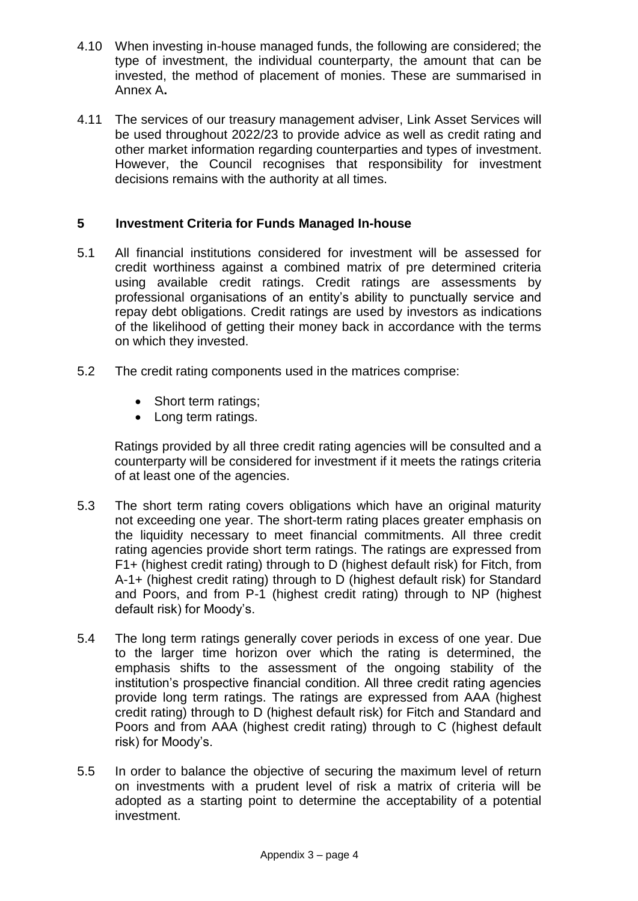- 4.10 When investing in-house managed funds, the following are considered; the type of investment, the individual counterparty, the amount that can be invested, the method of placement of monies. These are summarised in Annex A**.**
- 4.11 The services of our treasury management adviser, Link Asset Services will be used throughout 2022/23 to provide advice as well as credit rating and other market information regarding counterparties and types of investment. However, the Council recognises that responsibility for investment decisions remains with the authority at all times.

# **5 Investment Criteria for Funds Managed In-house**

- 5.1 All financial institutions considered for investment will be assessed for credit worthiness against a combined matrix of pre determined criteria using available credit ratings. Credit ratings are assessments by professional organisations of an entity's ability to punctually service and repay debt obligations. Credit ratings are used by investors as indications of the likelihood of getting their money back in accordance with the terms on which they invested.
- 5.2 The credit rating components used in the matrices comprise:
	- Short term ratings;
	- Long term ratings.

Ratings provided by all three credit rating agencies will be consulted and a counterparty will be considered for investment if it meets the ratings criteria of at least one of the agencies.

- 5.3 The short term rating covers obligations which have an original maturity not exceeding one year. The short-term rating places greater emphasis on the liquidity necessary to meet financial commitments. All three credit rating agencies provide short term ratings. The ratings are expressed from F1+ (highest credit rating) through to D (highest default risk) for Fitch, from A-1+ (highest credit rating) through to D (highest default risk) for Standard and Poors, and from P-1 (highest credit rating) through to NP (highest default risk) for Moody's.
- 5.4 The long term ratings generally cover periods in excess of one year. Due to the larger time horizon over which the rating is determined, the emphasis shifts to the assessment of the ongoing stability of the institution's prospective financial condition. All three credit rating agencies provide long term ratings. The ratings are expressed from AAA (highest credit rating) through to D (highest default risk) for Fitch and Standard and Poors and from AAA (highest credit rating) through to C (highest default risk) for Moody's.
- 5.5 In order to balance the objective of securing the maximum level of return on investments with a prudent level of risk a matrix of criteria will be adopted as a starting point to determine the acceptability of a potential investment.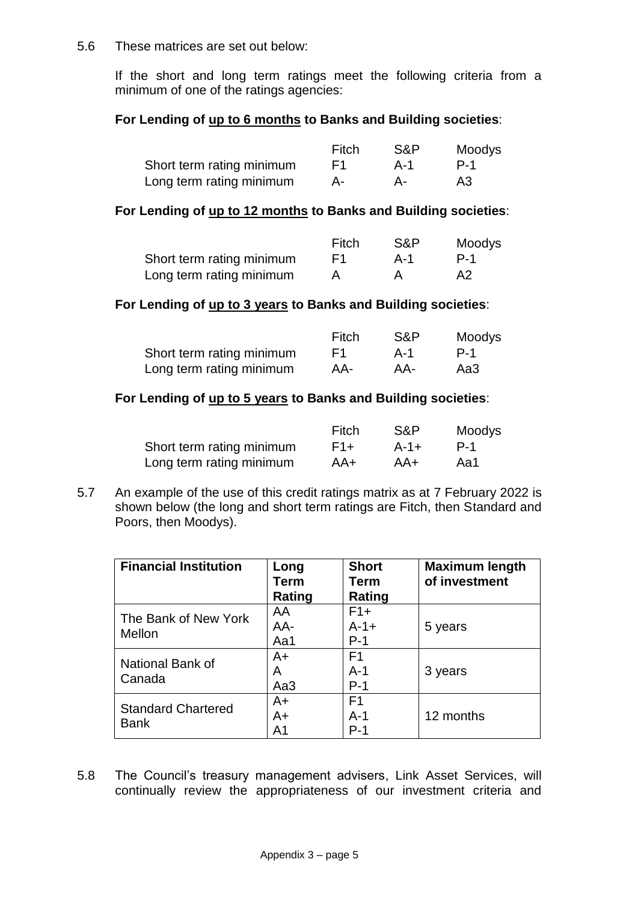#### 5.6 These matrices are set out below:

If the short and long term ratings meet the following criteria from a minimum of one of the ratings agencies:

## **For Lending of up to 6 months to Banks and Building societies**:

|                           | Fitch | S&P | Moodys |
|---------------------------|-------|-----|--------|
| Short term rating minimum | F1.   | A-1 | P-1    |
| Long term rating minimum  | А-    | A-  | A3     |

#### **For Lending of up to 12 months to Banks and Building societies**:

|                           | Fitch | S&P | Moodys         |
|---------------------------|-------|-----|----------------|
| Short term rating minimum | F1.   | A-1 | P-1            |
| Long term rating minimum  |       |     | A <sub>2</sub> |

#### **For Lending of up to 3 years to Banks and Building societies**:

|                           | Fitch | S&P | Moodys |
|---------------------------|-------|-----|--------|
| Short term rating minimum | F1.   | A-1 | P-1    |
| Long term rating minimum  | AA-   | AA- | Aa3    |

#### **For Lending of up to 5 years to Banks and Building societies**:

|                           | Fitch | S&P       | Moodys |
|---------------------------|-------|-----------|--------|
| Short term rating minimum | $F1+$ | $A - 1 +$ | P-1    |
| Long term rating minimum  | AA+   | AA+       | Aa1    |

5.7 An example of the use of this credit ratings matrix as at 7 February 2022 is shown below (the long and short term ratings are Fitch, then Standard and Poors, then Moodys).

| <b>Financial Institution</b> | Long<br>Term<br>Rating | <b>Short</b><br><b>Term</b><br>Rating | <b>Maximum length</b><br>of investment |
|------------------------------|------------------------|---------------------------------------|----------------------------------------|
| The Bank of New York         | AA<br>AA-              | $F1+$<br>$A - 1 +$                    | 5 years                                |
| Mellon                       | Aa1                    | $P-1$                                 |                                        |
| National Bank of             | $A+$<br>Α              | F <sub>1</sub><br>$A-1$               | 3 years                                |
| Canada                       | Aa3                    | $P-1$                                 |                                        |
| <b>Standard Chartered</b>    | $A+$                   | F <sub>1</sub>                        |                                        |
| <b>Bank</b>                  | $A+$                   | $A-1$                                 | 12 months                              |
|                              | A1                     | $P-1$                                 |                                        |

5.8 The Council's treasury management advisers, Link Asset Services, will continually review the appropriateness of our investment criteria and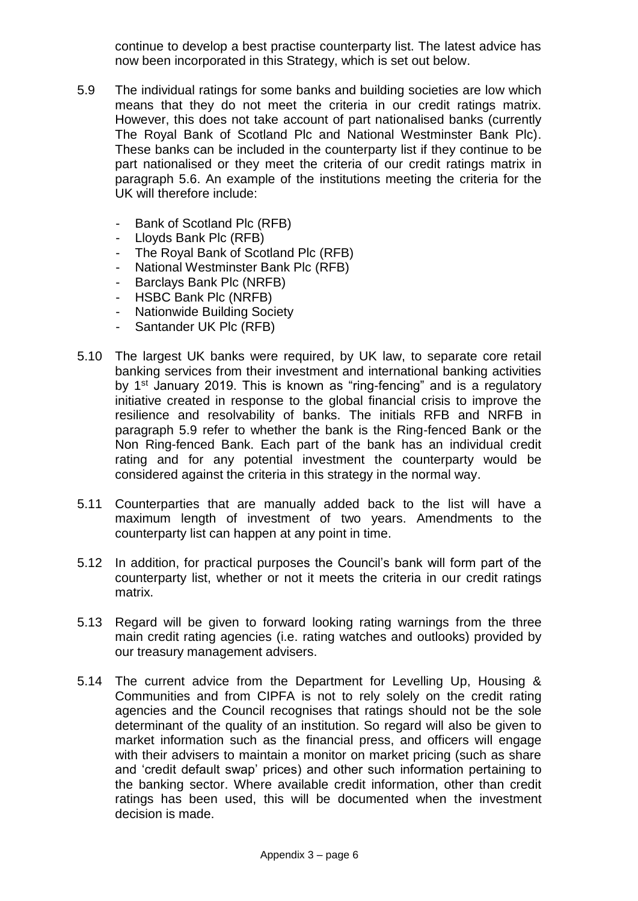continue to develop a best practise counterparty list. The latest advice has now been incorporated in this Strategy, which is set out below.

- 5.9 The individual ratings for some banks and building societies are low which means that they do not meet the criteria in our credit ratings matrix. However, this does not take account of part nationalised banks (currently The Royal Bank of Scotland Plc and National Westminster Bank Plc). These banks can be included in the counterparty list if they continue to be part nationalised or they meet the criteria of our credit ratings matrix in paragraph 5.6. An example of the institutions meeting the criteria for the UK will therefore include:
	- Bank of Scotland Plc (RFB)
	- Lloyds Bank Plc (RFB)
	- The Royal Bank of Scotland Plc (RFB)
	- National Westminster Bank Plc (RFB)
	- Barclays Bank Plc (NRFB)
	- HSBC Bank Plc (NRFB)
	- Nationwide Building Society
	- Santander UK Plc (RFB)
- 5.10 The largest UK banks were required, by UK law, to separate core retail banking services from their investment and international banking activities by 1<sup>st</sup> January 2019. This is known as "ring-fencing" and is a regulatory initiative created in response to the global financial crisis to improve the resilience and resolvability of banks. The initials RFB and NRFB in paragraph 5.9 refer to whether the bank is the Ring-fenced Bank or the Non Ring-fenced Bank. Each part of the bank has an individual credit rating and for any potential investment the counterparty would be considered against the criteria in this strategy in the normal way.
- 5.11 Counterparties that are manually added back to the list will have a maximum length of investment of two years. Amendments to the counterparty list can happen at any point in time.
- 5.12 In addition, for practical purposes the Council's bank will form part of the counterparty list, whether or not it meets the criteria in our credit ratings matrix.
- 5.13 Regard will be given to forward looking rating warnings from the three main credit rating agencies (i.e. rating watches and outlooks) provided by our treasury management advisers.
- 5.14 The current advice from the Department for Levelling Up, Housing & Communities and from CIPFA is not to rely solely on the credit rating agencies and the Council recognises that ratings should not be the sole determinant of the quality of an institution. So regard will also be given to market information such as the financial press, and officers will engage with their advisers to maintain a monitor on market pricing (such as share and 'credit default swap' prices) and other such information pertaining to the banking sector. Where available credit information, other than credit ratings has been used, this will be documented when the investment decision is made.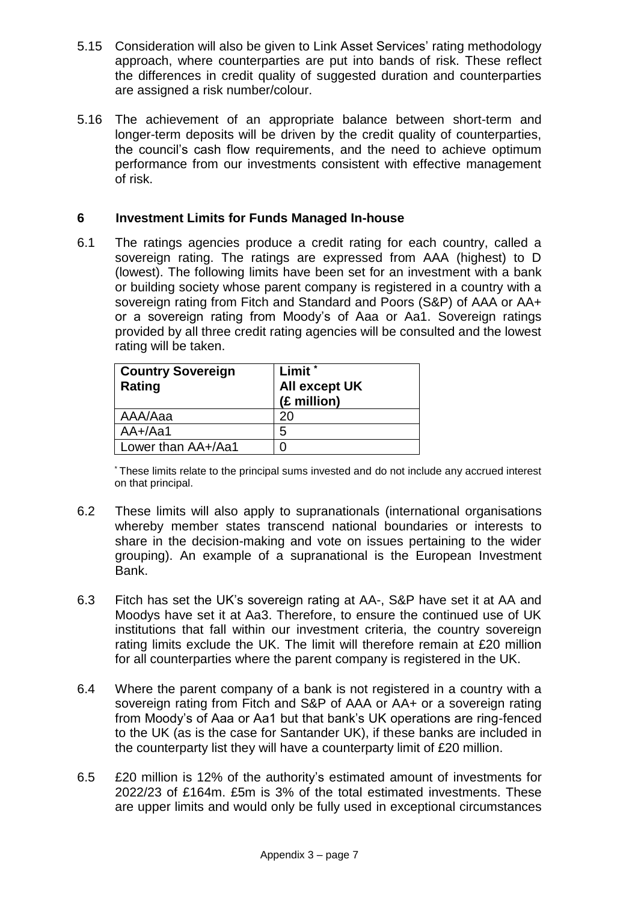- 5.15 Consideration will also be given to Link Asset Services' rating methodology approach, where counterparties are put into bands of risk. These reflect the differences in credit quality of suggested duration and counterparties are assigned a risk number/colour.
- 5.16 The achievement of an appropriate balance between short-term and longer-term deposits will be driven by the credit quality of counterparties, the council's cash flow requirements, and the need to achieve optimum performance from our investments consistent with effective management of risk.

## **6 Investment Limits for Funds Managed In-house**

6.1 The ratings agencies produce a credit rating for each country, called a sovereign rating. The ratings are expressed from AAA (highest) to D (lowest). The following limits have been set for an investment with a bank or building society whose parent company is registered in a country with a sovereign rating from Fitch and Standard and Poors (S&P) of AAA or AA+ or a sovereign rating from Moody's of Aaa or Aa1. Sovereign ratings provided by all three credit rating agencies will be consulted and the lowest rating will be taken.

| <b>Country Sovereign</b><br>Rating | Limit <sup>*</sup><br>All except UK<br>(£ million) |
|------------------------------------|----------------------------------------------------|
| AAA/Aaa                            | 20                                                 |
| $AA+/Aa1$                          | 5                                                  |
| Lower than AA+/Aa1                 |                                                    |

\* These limits relate to the principal sums invested and do not include any accrued interest on that principal.

- 6.2 These limits will also apply to supranationals (international organisations whereby member states transcend national boundaries or interests to share in the decision-making and vote on issues pertaining to the wider grouping). An example of a supranational is the European Investment Bank.
- 6.3 Fitch has set the UK's sovereign rating at AA-, S&P have set it at AA and Moodys have set it at Aa3. Therefore, to ensure the continued use of UK institutions that fall within our investment criteria, the country sovereign rating limits exclude the UK. The limit will therefore remain at £20 million for all counterparties where the parent company is registered in the UK.
- 6.4 Where the parent company of a bank is not registered in a country with a sovereign rating from Fitch and S&P of AAA or AA+ or a sovereign rating from Moody's of Aaa or Aa1 but that bank's UK operations are ring-fenced to the UK (as is the case for Santander UK), if these banks are included in the counterparty list they will have a counterparty limit of £20 million.
- 6.5 £20 million is 12% of the authority's estimated amount of investments for 2022/23 of £164m. £5m is 3% of the total estimated investments. These are upper limits and would only be fully used in exceptional circumstances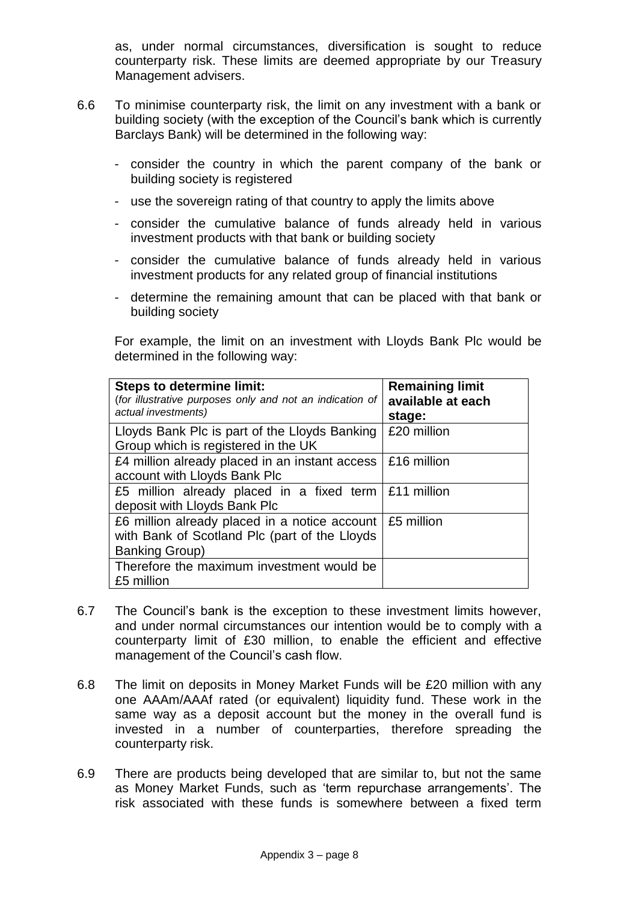as, under normal circumstances, diversification is sought to reduce counterparty risk. These limits are deemed appropriate by our Treasury Management advisers.

- 6.6 To minimise counterparty risk, the limit on any investment with a bank or building society (with the exception of the Council's bank which is currently Barclays Bank) will be determined in the following way:
	- consider the country in which the parent company of the bank or building society is registered
	- use the sovereign rating of that country to apply the limits above
	- consider the cumulative balance of funds already held in various investment products with that bank or building society
	- consider the cumulative balance of funds already held in various investment products for any related group of financial institutions
	- determine the remaining amount that can be placed with that bank or building society

For example, the limit on an investment with Lloyds Bank Plc would be determined in the following way:

| <b>Steps to determine limit:</b><br>(for illustrative purposes only and not an indication of<br>actual investments)                              | <b>Remaining limit</b><br>available at each<br>stage: |  |
|--------------------------------------------------------------------------------------------------------------------------------------------------|-------------------------------------------------------|--|
| Lloyds Bank Plc is part of the Lloyds Banking<br>Group which is registered in the UK                                                             | £20 million                                           |  |
| £4 million already placed in an instant access $\mid$ £16 million<br>account with Lloyds Bank Plc                                                |                                                       |  |
| £5 million already placed in a fixed term   £11 million<br>deposit with Lloyds Bank Plc                                                          |                                                       |  |
| £6 million already placed in a notice account $\frac{1}{2}$ £5 million<br>with Bank of Scotland Plc (part of the Lloyds<br><b>Banking Group)</b> |                                                       |  |
| Therefore the maximum investment would be<br>£5 million                                                                                          |                                                       |  |

- 6.7 The Council's bank is the exception to these investment limits however, and under normal circumstances our intention would be to comply with a counterparty limit of £30 million, to enable the efficient and effective management of the Council's cash flow.
- 6.8 The limit on deposits in Money Market Funds will be £20 million with any one AAAm/AAAf rated (or equivalent) liquidity fund. These work in the same way as a deposit account but the money in the overall fund is invested in a number of counterparties, therefore spreading the counterparty risk.
- 6.9 There are products being developed that are similar to, but not the same as Money Market Funds, such as 'term repurchase arrangements'. The risk associated with these funds is somewhere between a fixed term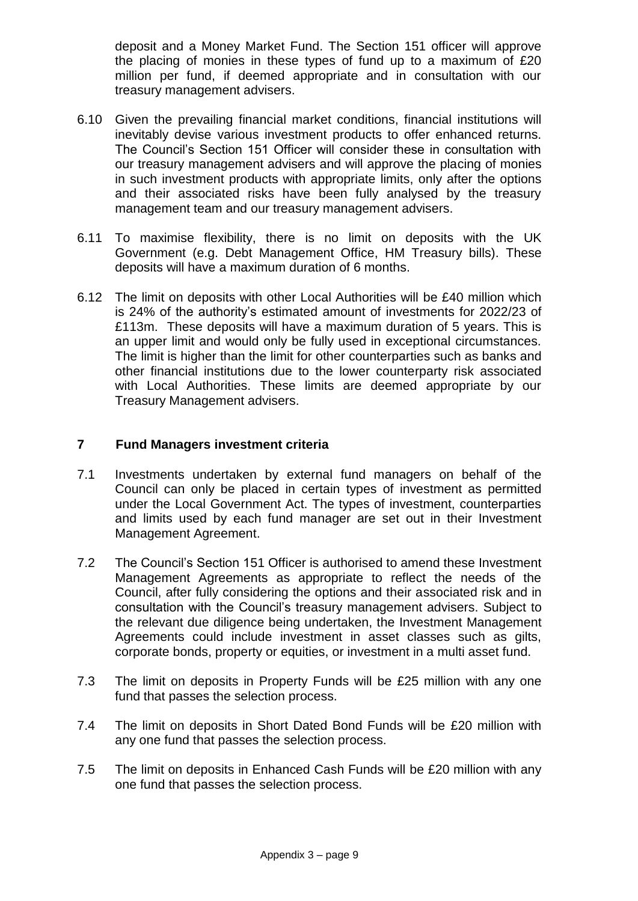deposit and a Money Market Fund. The Section 151 officer will approve the placing of monies in these types of fund up to a maximum of £20 million per fund, if deemed appropriate and in consultation with our treasury management advisers.

- 6.10 Given the prevailing financial market conditions, financial institutions will inevitably devise various investment products to offer enhanced returns. The Council's Section 151 Officer will consider these in consultation with our treasury management advisers and will approve the placing of monies in such investment products with appropriate limits, only after the options and their associated risks have been fully analysed by the treasury management team and our treasury management advisers.
- 6.11 To maximise flexibility, there is no limit on deposits with the UK Government (e.g. Debt Management Office, HM Treasury bills). These deposits will have a maximum duration of 6 months.
- 6.12 The limit on deposits with other Local Authorities will be £40 million which is 24% of the authority's estimated amount of investments for 2022/23 of £113m. These deposits will have a maximum duration of 5 years. This is an upper limit and would only be fully used in exceptional circumstances. The limit is higher than the limit for other counterparties such as banks and other financial institutions due to the lower counterparty risk associated with Local Authorities. These limits are deemed appropriate by our Treasury Management advisers.

## **7 Fund Managers investment criteria**

- 7.1 Investments undertaken by external fund managers on behalf of the Council can only be placed in certain types of investment as permitted under the Local Government Act. The types of investment, counterparties and limits used by each fund manager are set out in their Investment Management Agreement.
- 7.2 The Council's Section 151 Officer is authorised to amend these Investment Management Agreements as appropriate to reflect the needs of the Council, after fully considering the options and their associated risk and in consultation with the Council's treasury management advisers. Subject to the relevant due diligence being undertaken, the Investment Management Agreements could include investment in asset classes such as gilts, corporate bonds, property or equities, or investment in a multi asset fund.
- 7.3 The limit on deposits in Property Funds will be £25 million with any one fund that passes the selection process.
- 7.4 The limit on deposits in Short Dated Bond Funds will be £20 million with any one fund that passes the selection process.
- 7.5 The limit on deposits in Enhanced Cash Funds will be £20 million with any one fund that passes the selection process.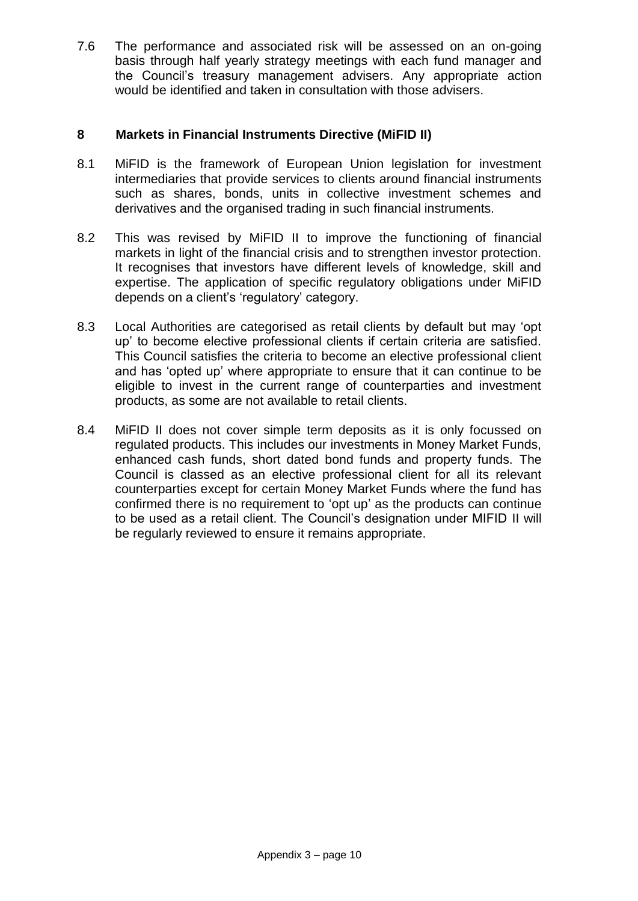7.6 The performance and associated risk will be assessed on an on-going basis through half yearly strategy meetings with each fund manager and the Council's treasury management advisers. Any appropriate action would be identified and taken in consultation with those advisers.

## **8 Markets in Financial Instruments Directive (MiFID II)**

- 8.1 MiFID is the framework of European Union legislation for investment intermediaries that provide services to clients around financial instruments such as shares, bonds, units in collective investment schemes and derivatives and the organised trading in such financial instruments.
- 8.2 This was revised by MiFID II to improve the functioning of financial markets in light of the financial crisis and to strengthen investor protection. It recognises that investors have different levels of knowledge, skill and expertise. The application of specific regulatory obligations under MiFID depends on a client's 'regulatory' category.
- 8.3 Local Authorities are categorised as retail clients by default but may 'opt up' to become elective professional clients if certain criteria are satisfied. This Council satisfies the criteria to become an elective professional client and has 'opted up' where appropriate to ensure that it can continue to be eligible to invest in the current range of counterparties and investment products, as some are not available to retail clients.
- 8.4 MiFID II does not cover simple term deposits as it is only focussed on regulated products. This includes our investments in Money Market Funds, enhanced cash funds, short dated bond funds and property funds. The Council is classed as an elective professional client for all its relevant counterparties except for certain Money Market Funds where the fund has confirmed there is no requirement to 'opt up' as the products can continue to be used as a retail client. The Council's designation under MIFID II will be regularly reviewed to ensure it remains appropriate.